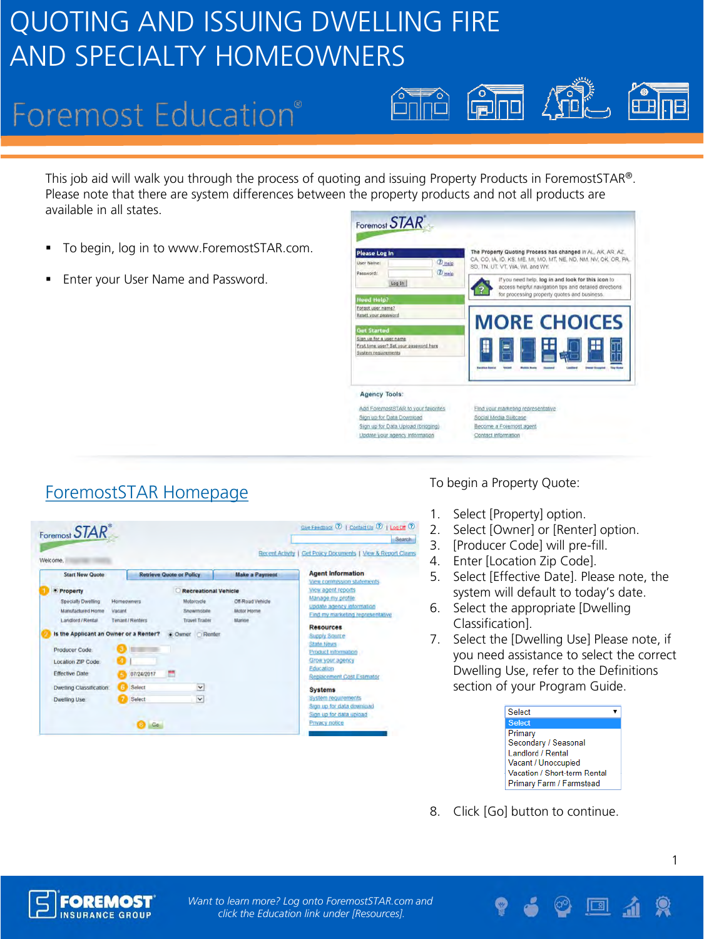# **Foremost Education®**

This job aid will walk you through the process of quoting and issuing Property Products in ForemostSTAR®. Please note that there are system differences between the property products and not all products are available in all states.

- To begin, log in to www.ForemostSTAR.com.
- Enter your User Name and Password.

| Please Log In<br><b>D</b> Help<br><b>User Name:</b>                                       | The Property Quoting Process has changed in AL, AK, AR, AZ,<br>CA, CO, IA, ID, KS, ME, MI, MO, MT, NE, ND, NM, NV, OK, OR, PA,<br>SD. TN, UT, VT, WA, WI, and WY. |  |
|-------------------------------------------------------------------------------------------|-------------------------------------------------------------------------------------------------------------------------------------------------------------------|--|
| <b><i>D</i></b> Help<br>Password:<br>Log In                                               | If you need help, log in and look for this icon to<br>access helpful navigation tips and detailed directions.<br>for processing property guotes and business.     |  |
| <b>Heed Help?</b>                                                                         |                                                                                                                                                                   |  |
| Forgot user name?<br>Reset your password                                                  |                                                                                                                                                                   |  |
|                                                                                           | <b>MORE CHOICES</b>                                                                                                                                               |  |
| <b>Get Started</b>                                                                        |                                                                                                                                                                   |  |
| Sign up for a user name<br>First time user? Set your password here<br>System requirements |                                                                                                                                                                   |  |
| <b>Agency Tools:</b>                                                                      |                                                                                                                                                                   |  |
|                                                                                           |                                                                                                                                                                   |  |
| Add ForemostSTAR to your favorites                                                        | Find your marketing representative                                                                                                                                |  |
| Sign up for Data Download                                                                 | Social Media Sultcase                                                                                                                                             |  |
| Sign up for Data Upload (bridging)                                                        | Become a Foremost agent                                                                                                                                           |  |

 $\begin{matrix} \sqrt{10} \\ \sqrt{10} \end{matrix}$ 

 $\begin{bmatrix} 1 \\ -1 \\ -1 \end{bmatrix}$ 

 $\sqrt{\text{me}}$ 

# ForemostSTAR Homepage To begin a Property Quote:

| Foremost STAR                                                              |                                                                                                                                                                                                              |                             |                                                                                                                                              | Search-                                                                                                         |
|----------------------------------------------------------------------------|--------------------------------------------------------------------------------------------------------------------------------------------------------------------------------------------------------------|-----------------------------|----------------------------------------------------------------------------------------------------------------------------------------------|-----------------------------------------------------------------------------------------------------------------|
| Welcome.                                                                   |                                                                                                                                                                                                              |                             |                                                                                                                                              | Recent Activity   Get Policy Documents   View & Report Claims                                                   |
| <b>Start New Quote</b><br>· Property                                       | <b>Retrieve Quote or Policy</b>                                                                                                                                                                              | <b>Recreational Vehicle</b> | <b>Make a Payment</b>                                                                                                                        | <b>Agent Information</b><br>View commission statements<br>View agent reports                                    |
| <b>Specialty Dwelling</b><br><b>Manufactured Home</b><br>Landford / Rental | <b>Homeowners</b><br>Motorcycle<br>Off-Road Vehicle<br>Snowmobile<br>Motor Horne<br>Vacant<br>Tenant / Renters<br><b>Travel Trailer</b><br>Marine<br>Is the Applicant an Owner or a Renter?<br>Cowner Renter |                             | Manage my profile<br>update agency information<br>Find my marketing representative<br><b>Resources</b><br>Supply Source<br><b>State News</b> |                                                                                                                 |
| Producer Code<br>Location ZIP Code<br><b>Effective Date</b>                | 07/24/2017                                                                                                                                                                                                   |                             |                                                                                                                                              | Product information<br>Grow your agency<br>Education<br>Replacement Cost Estimator                              |
| Dwelling Classification:<br>Dwelling Use                                   | Select<br>Select<br>Go.                                                                                                                                                                                      | $\check{ }$<br>$\checkmark$ |                                                                                                                                              | <b>Systems</b><br>System requirements<br>Sign up for data download<br>Sign up for data upload<br>Privacy notice |

- 1. Select [Property] option.
- 2. Select [Owner] or [Renter] option.
- 3. [Producer Code] will pre-fill.
- 4. Enter [Location Zip Code].
- 5. Select [Effective Date]. Please note, the system will default to today's date.
- 6. Select the appropriate [Dwelling Classification].
- 7. Select the [Dwelling Use] Please note, if you need assistance to select the correct Dwelling Use, refer to the Definitions section of your Program Guide.



8. Click [Go] button to continue.



*Want to learn more? Log onto ForemostSTAR.com and click the Education link under [Resources].*

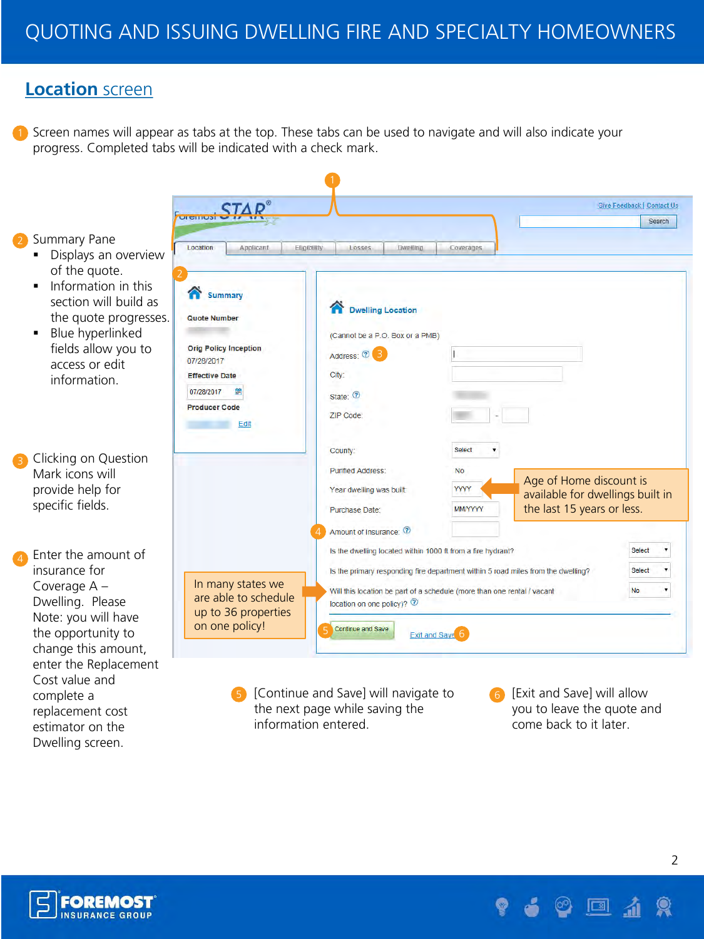## **Location** screen

1) Screen names will appear as tabs at the top. These tabs can be used to navigate and will also indicate your progress. Completed tabs will be indicated with a check mark.

Summary Pane

- **Displays an overview** of the quote.
- $\blacksquare$  Information in this section will build as the quote progresse.
- **Blue hyperlinked** fields allow you to access or edit information.
- Clicking on Question Mark icons will provide help for specific fields.
- Enter the amount of insurance for Coverage A – Dwelling. Please Note: you will have the opportunity to change this amount, enter the Replacement Cost value and complete a replacement cost estimator on the Dwelling screen.

|                                             |                                                                                  |                |                                                             | Give Feedback   Contact Us |
|---------------------------------------------|----------------------------------------------------------------------------------|----------------|-------------------------------------------------------------|----------------------------|
| <b>UI CITIUSI</b>                           |                                                                                  |                |                                                             | Search                     |
| Location<br>Applicant                       | Eligibility<br>Dwelling<br>Losses                                                | Coverages      |                                                             |                            |
|                                             |                                                                                  |                |                                                             |                            |
|                                             |                                                                                  |                |                                                             |                            |
| <b>Summary</b>                              |                                                                                  |                |                                                             |                            |
|                                             | <b>Dwelling Location</b>                                                         |                |                                                             |                            |
| <b>Quote Number</b>                         |                                                                                  |                |                                                             |                            |
|                                             | (Cannot be a P.O. Box or a PMB)                                                  |                |                                                             |                            |
| <b>Orig Policy Inception</b><br>07/28/2017  | Address: 2                                                                       |                |                                                             |                            |
| <b>Effective Date</b>                       | City:                                                                            |                |                                                             |                            |
| 07/28/2017<br>g,                            | State: 7                                                                         |                |                                                             |                            |
| <b>Producer Code</b>                        |                                                                                  |                |                                                             |                            |
| Edit                                        | ZIP Code:                                                                        |                |                                                             |                            |
|                                             |                                                                                  |                |                                                             |                            |
|                                             | County:                                                                          | Select         |                                                             |                            |
|                                             | <b>Purified Address:</b>                                                         | <b>No</b>      |                                                             |                            |
|                                             | Year dwelling was built:                                                         | <b>YYYY</b>    | Age of Home discount is<br>available for dwellings built in |                            |
|                                             | <b>Purchase Date:</b>                                                            | <b>MM/YYYY</b> | the last 15 years or less.                                  |                            |
|                                             | Amount of Insurance: 2                                                           |                |                                                             |                            |
|                                             |                                                                                  |                |                                                             |                            |
|                                             | Is the dwelling located within 1000 ft from a fire hydrant?                      |                |                                                             | <b>Select</b>              |
|                                             | Is the primary responding fire department within 5 road miles from the dwelling? |                |                                                             | <b>Select</b>              |
| In many states we                           | Will this location be part of a schedule (more than one rental / vacant          |                |                                                             | No                         |
| are able to schedule<br>up to 36 properties | location on one policy)? $\circledR$                                             |                |                                                             |                            |
|                                             |                                                                                  |                |                                                             |                            |

- $\overline{5}$  [Continue and Save] will navigate to  $\overline{6}$ the next page while saving the information entered.
	- [Exit and Save] will allow you to leave the quote and come back to it later.

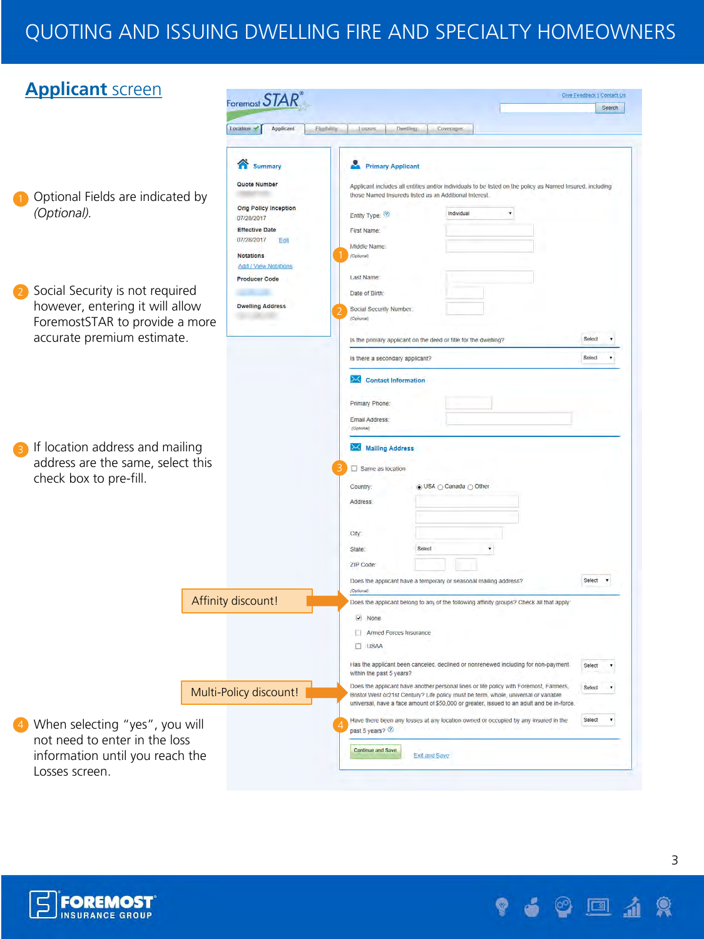| <b>Applicant screen</b>                                           | Foremost $STAR$                             |                                                                                                                                                                                  | Give Feedback   Contact Us |        |
|-------------------------------------------------------------------|---------------------------------------------|----------------------------------------------------------------------------------------------------------------------------------------------------------------------------------|----------------------------|--------|
|                                                                   |                                             |                                                                                                                                                                                  |                            | Search |
|                                                                   | Applicant<br>Location $\prec$               | Filaturity<br>Lusses<br>Dwelling<br>Coverages                                                                                                                                    |                            |        |
|                                                                   | m<br>Summary                                | <b>Primary Applicant</b>                                                                                                                                                         |                            |        |
|                                                                   | Quote Number                                | Applicant includes all entities and/or individuals to be listed on the policy as Named Insured, including                                                                        |                            |        |
| Optional Fields are indicated by                                  |                                             | those Named Insureds listed as an Additional Interest.                                                                                                                           |                            |        |
| (Optional).                                                       | <b>Orig Policy Inception</b><br>07/28/2017  | Individual<br>Entity Type: (?)                                                                                                                                                   |                            |        |
|                                                                   | <b>Effective Date</b><br>07/28/2017<br>Edit | First Name:                                                                                                                                                                      |                            |        |
|                                                                   | <b>Notations</b><br>Add / View Notations    | Middle Name.<br>(Optional)                                                                                                                                                       |                            |        |
|                                                                   | <b>Producer Code</b>                        | <b>Last Name</b>                                                                                                                                                                 |                            |        |
| Social Security is not required<br>$\overline{\mathbf{2}}$        |                                             | Date of Birth                                                                                                                                                                    |                            |        |
| however, entering it will allow<br>ForemostSTAR to provide a more | <b>Dwelling Address</b>                     | Social Security Number:<br>(Optional)                                                                                                                                            |                            |        |
| accurate premium estimate.                                        |                                             | Is the primary applicant on the deed or fitte for the dwelling?                                                                                                                  | Select                     |        |
|                                                                   |                                             | is there a secondary applicant?                                                                                                                                                  | Sciect                     |        |
|                                                                   |                                             |                                                                                                                                                                                  |                            |        |
|                                                                   |                                             | $\infty$<br><b>Contact Information</b>                                                                                                                                           |                            |        |
|                                                                   |                                             | Primary Phone:                                                                                                                                                                   |                            |        |
|                                                                   |                                             | Email Address:<br>(Opbona)                                                                                                                                                       |                            |        |
| If location address and mailing<br>$\left(3\right)$               |                                             | Mailing Address                                                                                                                                                                  |                            |        |
| address are the same, select this                                 |                                             |                                                                                                                                                                                  |                            |        |
| check box to pre-fill.                                            |                                             | Same as location                                                                                                                                                                 |                            |        |
|                                                                   |                                             | <b>.</b> USA ⊜ Canada ⊜ Other<br><b>Country</b>                                                                                                                                  |                            |        |
|                                                                   |                                             | Address:                                                                                                                                                                         |                            |        |
|                                                                   |                                             |                                                                                                                                                                                  |                            |        |
|                                                                   |                                             | City<br>Select                                                                                                                                                                   |                            |        |
|                                                                   |                                             | State:<br>ZIP Code:                                                                                                                                                              |                            |        |
|                                                                   |                                             | Does the applicant have a temporary or seasonal mailing address?                                                                                                                 | Select <b>v</b>            |        |
|                                                                   |                                             | (Opliceral)                                                                                                                                                                      |                            |        |
|                                                                   | Affinity discount!                          | Does the applicant belong to any of the following affinity groups? Check all that apply                                                                                          |                            |        |
|                                                                   |                                             | $\overline{\phantom{a}}$<br>None                                                                                                                                                 |                            |        |
|                                                                   |                                             | Armed Forces Insurance<br>$\Box$ USAA                                                                                                                                            |                            |        |
|                                                                   |                                             | Has the applicant been canceled, declined or nonrenewed including for non-payment                                                                                                | Select                     | ٠      |
|                                                                   |                                             | within the past 5 years?<br>Does the applicant have another personal lines or life policy with Foremost, Farmers,                                                                | Select                     |        |
|                                                                   | Multi-Policy discount!                      | Bristol West or21st Century? Life policy must be term, whole, universal or variable<br>universal, have a face amount of \$50,000 or greater, issued to an adult and be in-force. |                            |        |
| When selecting "yes", you will<br>$\left( 4\right)$               |                                             | Have there been any losses at any location owned or occupied by any insured in the<br>past 5 years?                                                                              | Select                     |        |
| not need to enter in the loss                                     |                                             |                                                                                                                                                                                  |                            |        |
| information until you reach the                                   |                                             | Continue and Save<br>Exit and Save                                                                                                                                               |                            |        |
| Losses screen.                                                    |                                             |                                                                                                                                                                                  |                            |        |



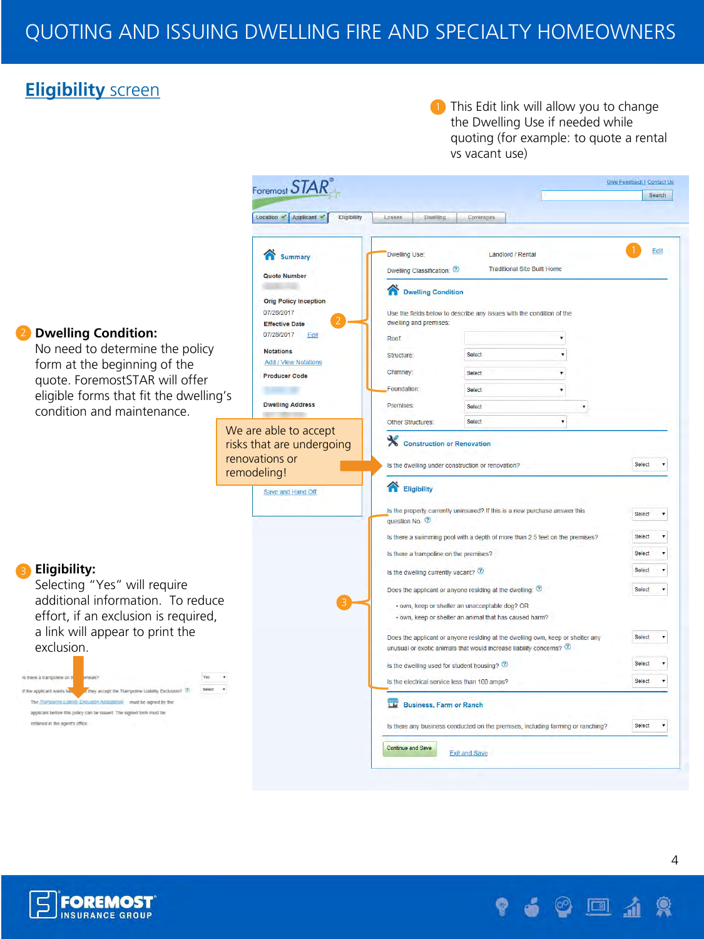## **Eligibility** screen

1 This Edit link will allow you to change the Dwelling Use if needed while quoting (for example: to quote a rental vs vacant use)





4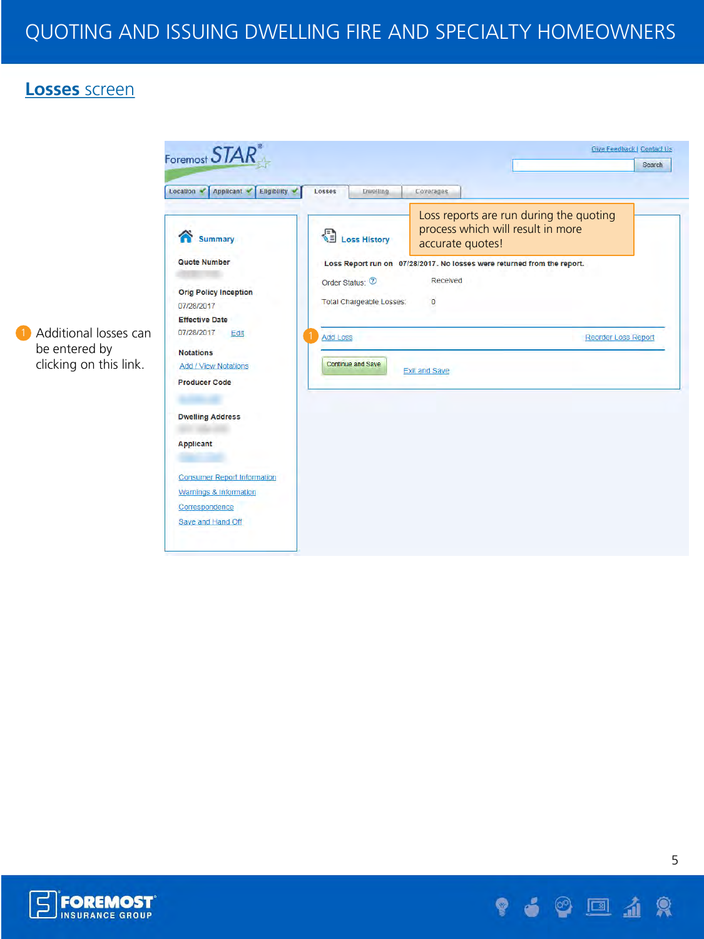#### **Losses** screen





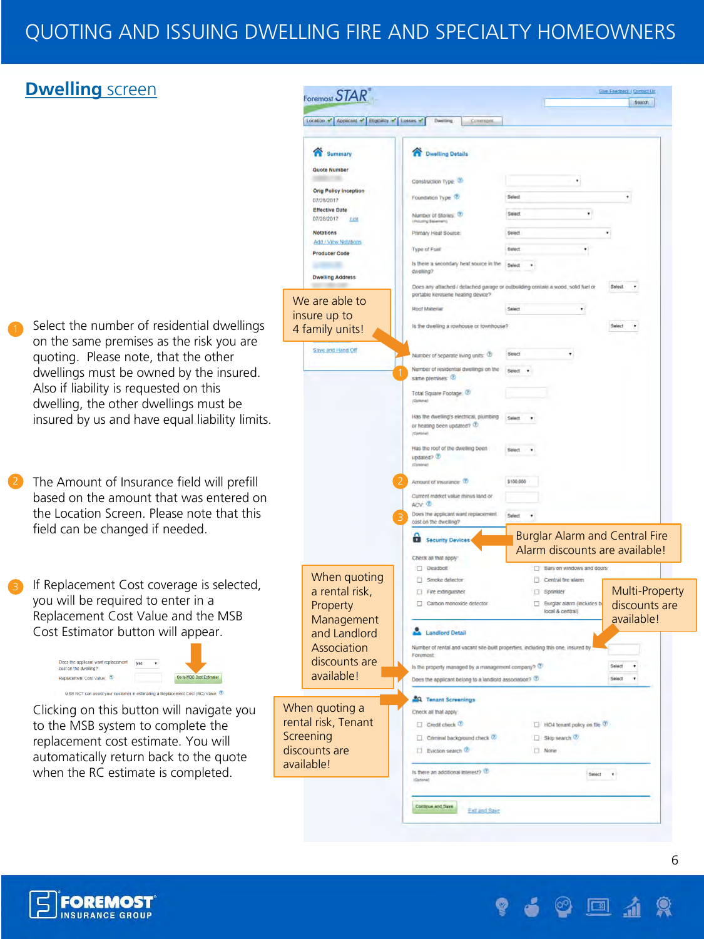### **Dwelling** screen





 $\boxed{2}$ 

**Sive Feedback / Contact Up**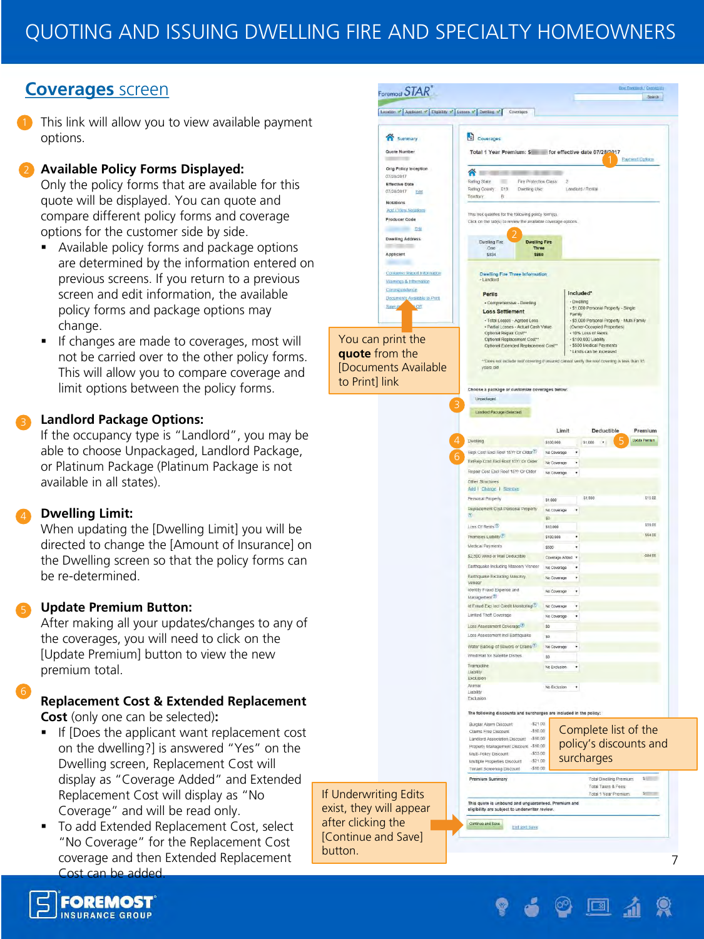### **Coverages** screen

This link will allow you to view available payment options.

#### **Available Policy Forms Displayed:**

Only the policy forms that are available for this quote will be displayed. You can quote and compare different policy forms and coverage options for the customer side by side.

- Available policy forms and package options are determined by the information entered on previous screens. If you return to a previous screen and edit information, the available policy forms and package options may change.
- If changes are made to coverages, most will not be carried over to the other policy forms. This will allow you to compare coverage and limit options between the policy forms.

#### **Landlord Package Options:**

If the occupancy type is "Landlord", you may be able to choose Unpackaged, Landlord Package, or Platinum Package (Platinum Package is not available in all states).

#### **Dwelling Limit:**

When updating the [Dwelling Limit] you will be directed to change the [Amount of Insurance] on the Dwelling screen so that the policy forms can be re-determined.

#### **Update Premium Button:**

After making all your updates/changes to any of the coverages, you will need to click on the [Update Premium] button to view the new premium total.

#### **Replacement Cost & Extended Replacement Cost** (only one can be selected)**:**

- If [Does the applicant want replacement cost on the dwelling?] is answered "Yes" on the Dwelling screen, Replacement Cost will display as "Coverage Added" and Extended Replacement Cost will display as "No Coverage" and will be read only.
- To add Extended Replacement Cost, select "No Coverage" for the Replacement Cost coverage and then Extended Replacement Cost can be added.

If Underwriting Edits exist, they will appear after clicking the [Continue and Save] button.



 $\boxed{2}$ 

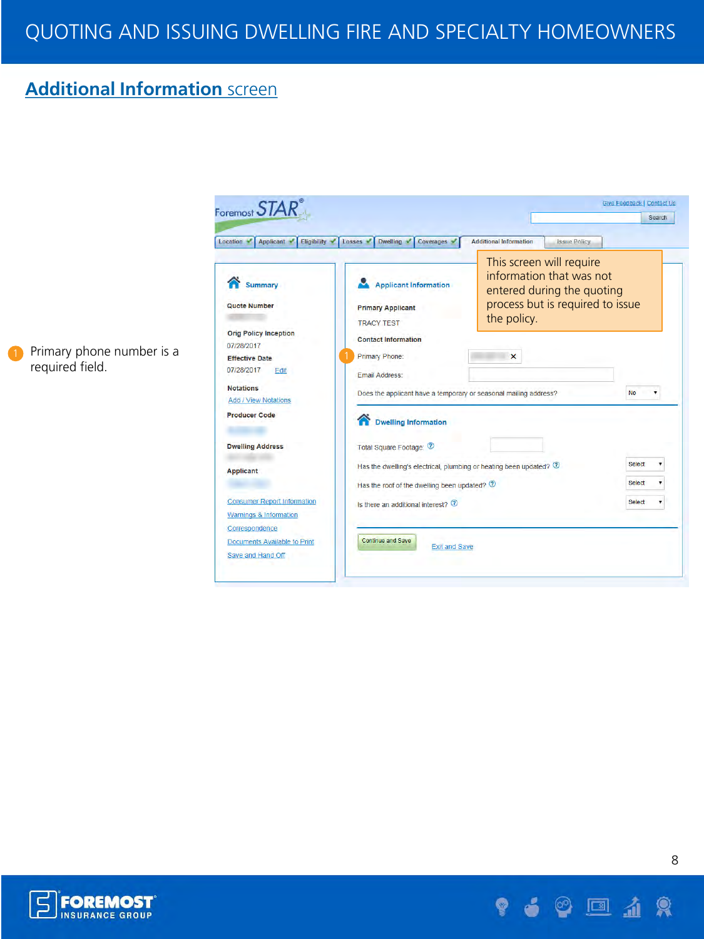## **Additional Information** screen



Primary phone number is a required field.



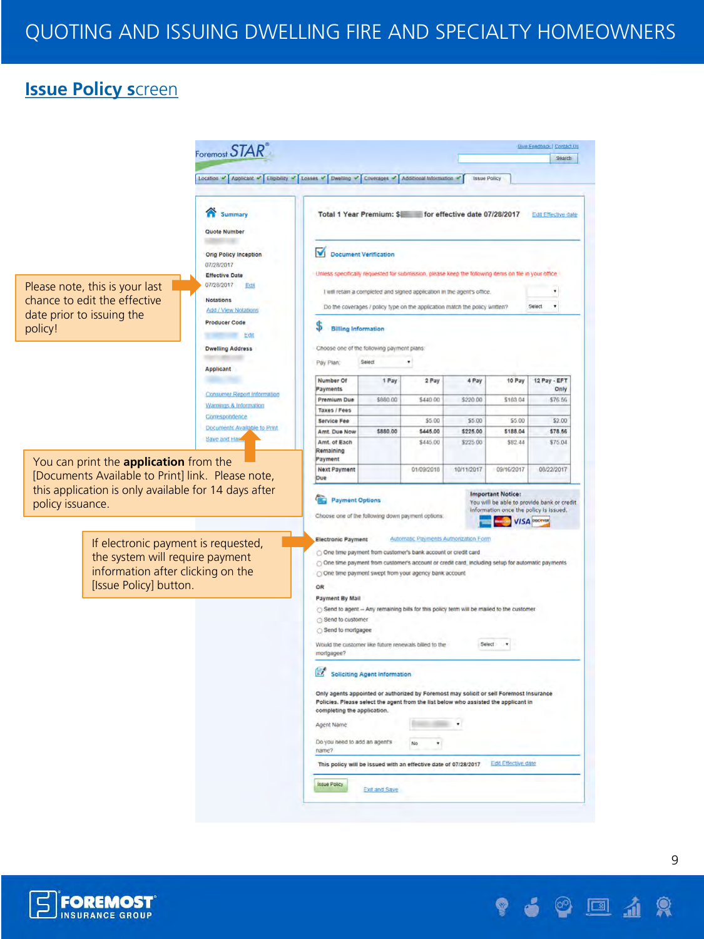### **Issue Policy s**creen







 $\boxed{2}$